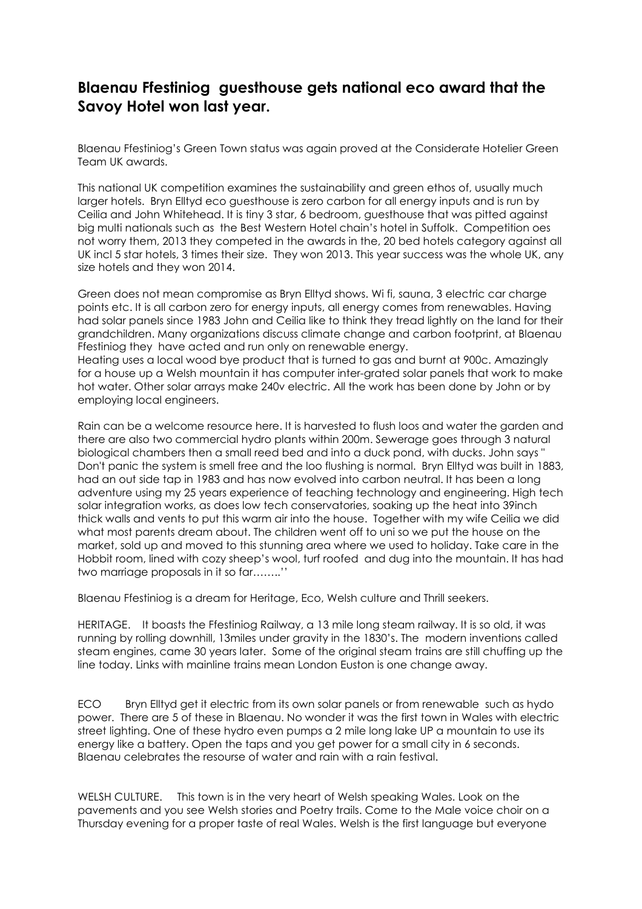## Blaenau Ffestiniog guesthouse gets national eco award that the Savoy Hotel won last year.

Blaenau Ffestiniog's Green Town status was again proved at the Considerate Hotelier Green Team UK awards.

This national UK competition examines the sustainability and green ethos of, usually much larger hotels. Bryn Elltyd eco guesthouse is zero carbon for all energy inputs and is run by Ceilia and John Whitehead. It is tiny 3 star, 6 bedroom, guesthouse that was pitted against big multi nationals such as the Best Western Hotel chain's hotel in Suffolk. Competition oes not worry them, 2013 they competed in the awards in the, 20 bed hotels category against all UK incl 5 star hotels, 3 times their size. They won 2013. This year success was the whole UK, any size hotels and they won 2014.

Green does not mean compromise as Bryn Elltyd shows. Wi fi, sauna, 3 electric car charge points etc. It is all carbon zero for energy inputs, all energy comes from renewables. Having had solar panels since 1983 John and Ceilia like to think they tread lightly on the land for their grandchildren. Many organizations discuss climate change and carbon footprint, at Blaenau Ffestiniog they have acted and run only on renewable energy.

Heating uses a local wood bye product that is turned to gas and burnt at 900c. Amazingly for a house up a Welsh mountain it has computer inter-grated solar panels that work to make hot water. Other solar arrays make 240v electric. All the work has been done by John or by employing local engineers.

Rain can be a welcome resource here. It is harvested to flush loos and water the garden and there are also two commercial hydro plants within 200m. Sewerage goes through 3 natural biological chambers then a small reed bed and into a duck pond, with ducks. John says " Don't panic the system is smell free and the loo flushing is normal. Bryn Elltyd was built in 1883, had an out side tap in 1983 and has now evolved into carbon neutral. It has been a long adventure using my 25 years experience of teaching technology and engineering. High tech solar integration works, as does low tech conservatories, soaking up the heat into 39inch thick walls and vents to put this warm air into the house. Together with my wife Ceilia we did what most parents dream about. The children went off to uni so we put the house on the market, sold up and moved to this stunning area where we used to holiday. Take care in the Hobbit room, lined with cozy sheep's wool, turf roofed and dug into the mountain. It has had two marriage proposals in it so far……..''

Blaenau Ffestiniog is a dream for Heritage, Eco, Welsh culture and Thrill seekers.

HERITAGE. It boasts the Ffestiniog Railway, a 13 mile long steam railway. It is so old, it was running by rolling downhill, 13miles under gravity in the 1830's. The modern inventions called steam engines, came 30 years later. Some of the original steam trains are still chuffing up the line today. Links with mainline trains mean London Euston is one change away.

ECO Bryn Elltyd get it electric from its own solar panels or from renewable such as hydo power. There are 5 of these in Blaenau. No wonder it was the first town in Wales with electric street lighting. One of these hydro even pumps a 2 mile long lake UP a mountain to use its energy like a battery. Open the taps and you get power for a small city in 6 seconds. Blaenau celebrates the resourse of water and rain with a rain festival.

WELSH CULTURE. This town is in the very heart of Welsh speaking Wales. Look on the pavements and you see Welsh stories and Poetry trails. Come to the Male voice choir on a Thursday evening for a proper taste of real Wales. Welsh is the first language but everyone